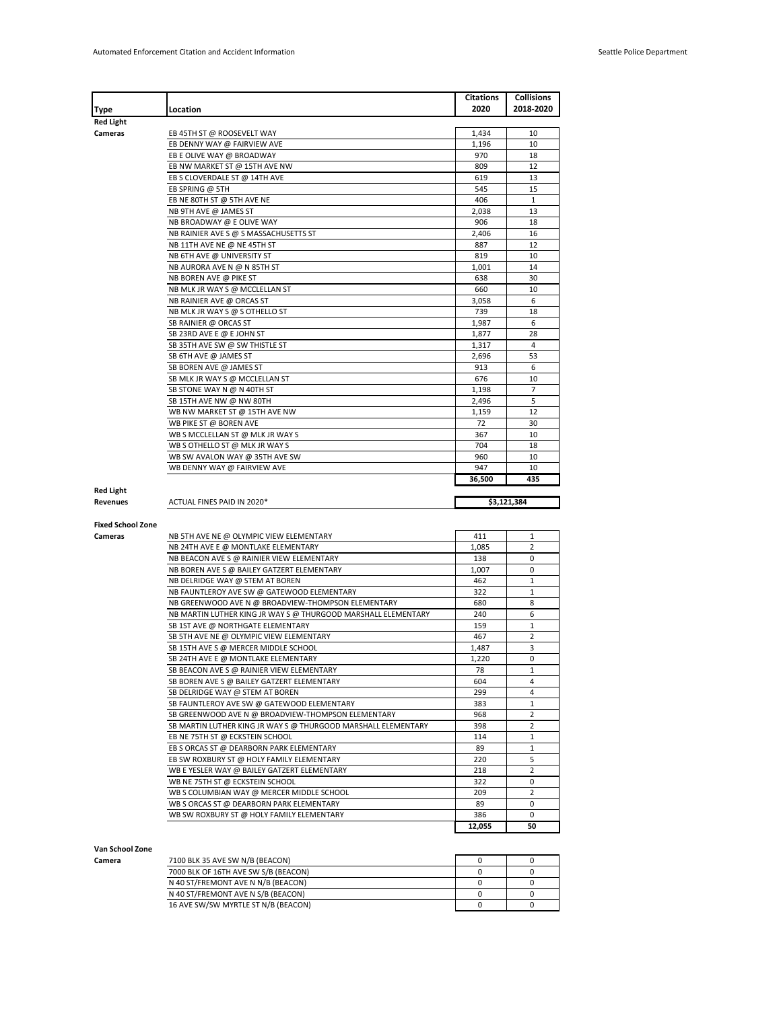|                          |                                                                               | Citations     | <b>Collisions</b> |
|--------------------------|-------------------------------------------------------------------------------|---------------|-------------------|
| Type                     | Location                                                                      | 2020          | 2018-2020         |
| <b>Red Light</b>         |                                                                               |               |                   |
| Cameras                  | EB 45TH ST @ ROOSEVELT WAY                                                    | 1,434         | 10                |
|                          | EB DENNY WAY @ FAIRVIEW AVE                                                   | 1,196         | 10                |
|                          | EB E OLIVE WAY @ BROADWAY                                                     | 970           | 18                |
|                          | EB NW MARKET ST @ 15TH AVE NW                                                 | 809           | 12                |
|                          | EB S CLOVERDALE ST @ 14TH AVE                                                 | 619<br>545    | 13<br>15          |
|                          | EB SPRING @ 5TH<br>EB NE 80TH ST @ 5TH AVE NE                                 | 406           | $\mathbf{1}$      |
|                          | NB 9TH AVE @ JAMES ST                                                         | 2,038         | 13                |
|                          | NB BROADWAY @ E OLIVE WAY                                                     | 906           | 18                |
|                          | NB RAINIER AVE S @ S MASSACHUSETTS ST                                         | 2,406         | 16                |
|                          | NB 11TH AVE NE @ NE 45TH ST                                                   | 887           | 12                |
|                          | NB 6TH AVE @ UNIVERSITY ST                                                    | 819           | 10                |
|                          | NB AURORA AVE N @ N 85TH ST                                                   | 1,001         | 14                |
|                          | NB BOREN AVE @ PIKE ST                                                        | 638           | 30                |
|                          | NB MLK JR WAY S @ MCCLELLAN ST                                                | 660           | 10                |
|                          | NB RAINIER AVE @ ORCAS ST                                                     | 3,058         | 6                 |
|                          | NB MLK JR WAY S @ S OTHELLO ST                                                | 739           | 18                |
|                          | SB RAINIER @ ORCAS ST                                                         | 1,987         | 6                 |
|                          | SB 23RD AVE E @ E JOHN ST                                                     | 1,877         | 28                |
|                          | SB 35TH AVE SW @ SW THISTLE ST                                                | 1,317         | 4                 |
|                          | SB 6TH AVE @ JAMES ST                                                         | 2,696         | 53                |
|                          | SB BOREN AVE @ JAMES ST                                                       | 913           | 6                 |
|                          | SB MLK JR WAY S @ MCCLELLAN ST                                                | 676           | 10                |
|                          | SB STONE WAY N @ N 40TH ST                                                    | 1,198         | 7                 |
|                          | SB 15TH AVE NW @ NW 80TH                                                      | 2,496         | 5                 |
|                          | WB NW MARKET ST @ 15TH AVE NW                                                 | 1,159         | 12                |
|                          | WB PIKE ST @ BOREN AVE                                                        | 72            | 30                |
|                          | WB S MCCLELLAN ST @ MLK JR WAY S                                              | 367           | 10                |
|                          | WB S OTHELLO ST @ MLK JR WAY S                                                | 704           | 18                |
|                          | WB SW AVALON WAY @ 35TH AVE SW                                                | 960           | 10                |
|                          | WB DENNY WAY @ FAIRVIEW AVE                                                   | 947           | 10                |
|                          |                                                                               |               |                   |
|                          |                                                                               | 36,500        | 435               |
| <b>Red Light</b>         |                                                                               |               |                   |
| Revenues                 | ACTUAL FINES PAID IN 2020*                                                    |               | \$3,121,384       |
|                          |                                                                               |               |                   |
| <b>Fixed School Zone</b> |                                                                               |               |                   |
| Cameras                  | NB 5TH AVE NE @ OLYMPIC VIEW ELEMENTARY                                       | 411           | 1                 |
|                          | NB 24TH AVE E @ MONTLAKE ELEMENTARY                                           | 1,085<br>138  | 2<br>0            |
|                          | NB BEACON AVE S @ RAINIER VIEW ELEMENTARY                                     | 1,007         | 0                 |
|                          | NB BOREN AVE S @ BAILEY GATZERT ELEMENTARY<br>NB DELRIDGE WAY @ STEM AT BOREN | 462           | 1                 |
|                          | NB FAUNTLEROY AVE SW @ GATEWOOD ELEMENTARY                                    | 322           | 1                 |
|                          | NB GREENWOOD AVE N @ BROADVIEW-THOMPSON ELEMENTARY                            | 680           | 8                 |
|                          | NB MARTIN LUTHER KING JR WAY S @ THURGOOD MARSHALL ELEMENTARY                 | 240           | 6                 |
|                          | SB 1ST AVE @ NORTHGATE ELEMENTARY                                             | 159           | 1                 |
|                          | SB 5TH AVE NE @ OLYMPIC VIEW ELEMENTARY                                       | 467           | 2                 |
|                          | SB 15TH AVE S @ MERCER MIDDLE SCHOOL                                          | 1,487         | 3                 |
|                          | SB 24TH AVE E @ MONTLAKE ELEMENTARY                                           | 1,220         | 0                 |
|                          | SB BEACON AVE S @ RAINIER VIEW ELEMENTARY                                     | 78            | 1                 |
|                          | SB BOREN AVE S @ BAILEY GATZERT ELEMENTARY                                    | 604           | $\overline{4}$    |
|                          | SB DELRIDGE WAY @ STEM AT BOREN                                               | 299           | 4                 |
|                          | SB FAUNTLEROY AVE SW @ GATEWOOD ELEMENTARY                                    | 383           | $\mathbf{1}$      |
|                          | SB GREENWOOD AVE N @ BROADVIEW-THOMPSON ELEMENTARY                            | 968           | 2                 |
|                          | SB MARTIN LUTHER KING JR WAY S @ THURGOOD MARSHALL ELEMENTARY                 | 398           | 2                 |
|                          | EB NE 75TH ST @ ECKSTEIN SCHOOL                                               | 114           | 1                 |
|                          | EB S ORCAS ST @ DEARBORN PARK ELEMENTARY                                      | 89            | $\mathbf 1$       |
|                          | EB SW ROXBURY ST @ HOLY FAMILY ELEMENTARY                                     | 220           | 5                 |
|                          | WB E YESLER WAY @ BAILEY GATZERT ELEMENTARY                                   | 218           | $\overline{2}$    |
|                          | WB NE 75TH ST @ ECKSTEIN SCHOOL                                               | 322           | 0                 |
|                          | WB S COLUMBIAN WAY @ MERCER MIDDLE SCHOOL                                     | 209           | 2                 |
|                          | WB S ORCAS ST @ DEARBORN PARK ELEMENTARY                                      | 89            | 0                 |
|                          | WB SW ROXBURY ST @ HOLY FAMILY ELEMENTARY                                     | 386<br>12,055 | 0<br>50           |

## **Van School Zone**

**Camera** 7100 BLK 35 AVE SW N/B (BEACON) 0 0 7000 BLK OF 16TH AVE SW S/B (BEACON) 0 0 N 40 ST/FREMONT AVE N N/B (BEACON)<br>
N 40 ST/FREMONT AVE N S/B (BEACON)<br>
0 0 0 N 40 ST/FREMONT AVE N S/B (BEACON) 0 0 16 AVE SW/SW MYRTLE ST N/B (BEACON) 0 0